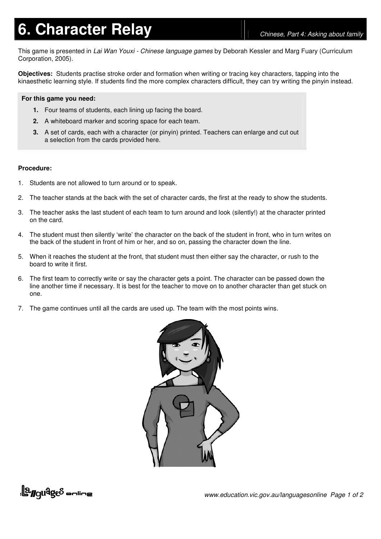## **6. Character Relay** *Chinese, Part 4: Asking about family*

This game is presented in *Lai Wan Youxi - Chinese language games* by Deborah Kessler and Marg Fuary (Curriculum Corporation, 2005).

**Objectives:** Students practise stroke order and formation when writing or tracing key characters, tapping into the kinaesthetic learning style. If students find the more complex characters difficult, they can try writing the pinyin instead.

## **For this game you need:**

- **1.** Four teams of students, each lining up facing the board.
- **2.** A whiteboard marker and scoring space for each team.
- **3.** A set of cards, each with a character (or pinyin) printed. Teachers can enlarge and cut out a selection from the cards provided here.

## **Procedure:**

- 1. Students are not allowed to turn around or to speak.
- 2. The teacher stands at the back with the set of character cards, the first at the ready to show the students.
- 3. The teacher asks the last student of each team to turn around and look (silently!) at the character printed on the card.
- 4. The student must then silently 'write' the character on the back of the student in front, who in turn writes on the back of the student in front of him or her, and so on, passing the character down the line.
- 5. When it reaches the student at the front, that student must then either say the character, or rush to the board to write it first.
- 6. The first team to correctly write or say the character gets a point. The character can be passed down the line another time if necessary. It is best for the teacher to move on to another character than get stuck on one.
- 7. The game continues until all the cards are used up. The team with the most points wins.